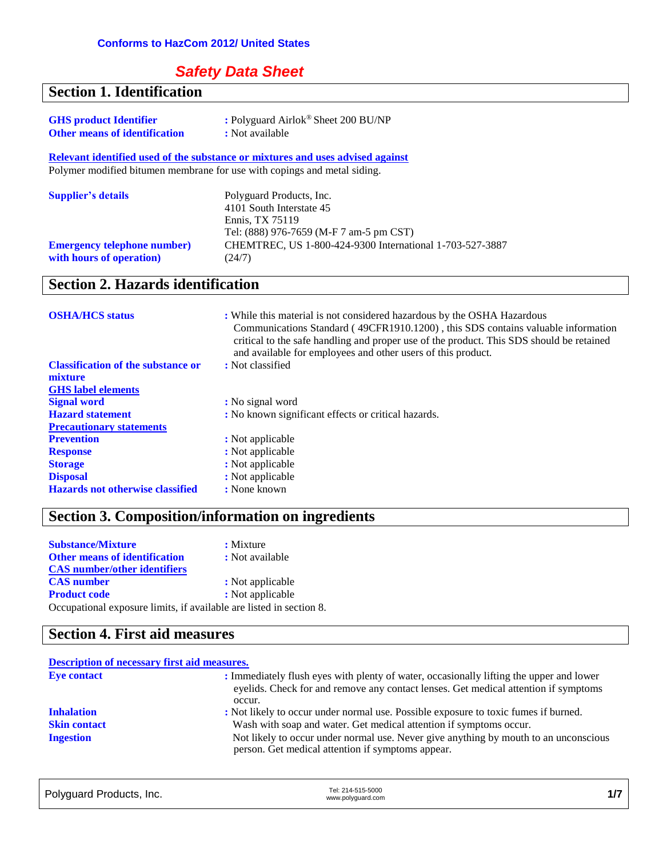### *Safety Data Sheet*

| <b>Section 1. Identification</b>          |                                                                                                                                                                                                                                                                                                                         |
|-------------------------------------------|-------------------------------------------------------------------------------------------------------------------------------------------------------------------------------------------------------------------------------------------------------------------------------------------------------------------------|
| <b>GHS product Identifier</b>             | : Polyguard Airlok® Sheet 200 BU/NP                                                                                                                                                                                                                                                                                     |
| <b>Other means of identification</b>      | : Not available                                                                                                                                                                                                                                                                                                         |
|                                           |                                                                                                                                                                                                                                                                                                                         |
|                                           | Relevant identified used of the substance or mixtures and uses advised against                                                                                                                                                                                                                                          |
|                                           | Polymer modified bitumen membrane for use with copings and metal siding.                                                                                                                                                                                                                                                |
| <b>Supplier's details</b>                 | Polyguard Products, Inc.                                                                                                                                                                                                                                                                                                |
|                                           | 4101 South Interstate 45                                                                                                                                                                                                                                                                                                |
|                                           | Ennis, TX 75119                                                                                                                                                                                                                                                                                                         |
|                                           | Tel: (888) 976-7659 (M-F 7 am-5 pm CST)                                                                                                                                                                                                                                                                                 |
| <b>Emergency telephone number)</b>        | CHEMTREC, US 1-800-424-9300 International 1-703-527-3887                                                                                                                                                                                                                                                                |
| with hours of operation)                  | (24/7)                                                                                                                                                                                                                                                                                                                  |
|                                           |                                                                                                                                                                                                                                                                                                                         |
| <b>Section 2. Hazards identification</b>  |                                                                                                                                                                                                                                                                                                                         |
|                                           |                                                                                                                                                                                                                                                                                                                         |
| <b>OSHA/HCS</b> status                    | : While this material is not considered hazardous by the OSHA Hazardous<br>Communications Standard (49CFR1910.1200), this SDS contains valuable information<br>critical to the safe handling and proper use of the product. This SDS should be retained<br>and available for employees and other users of this product. |
| <b>Classification of the substance or</b> | : Not classified                                                                                                                                                                                                                                                                                                        |
| mixture                                   |                                                                                                                                                                                                                                                                                                                         |
| <b>GHS</b> label elements                 |                                                                                                                                                                                                                                                                                                                         |
| <b>Signal word</b>                        | : No signal word                                                                                                                                                                                                                                                                                                        |
| <b>Hazard statement</b>                   | : No known significant effects or critical hazards.                                                                                                                                                                                                                                                                     |
| <b>Precautionary statements</b>           |                                                                                                                                                                                                                                                                                                                         |
| <b>Prevention</b>                         | : Not applicable                                                                                                                                                                                                                                                                                                        |
| <b>Response</b>                           | : Not applicable                                                                                                                                                                                                                                                                                                        |
| <b>Storage</b>                            | : Not applicable                                                                                                                                                                                                                                                                                                        |
| <b>Disposal</b>                           | : Not applicable                                                                                                                                                                                                                                                                                                        |

### **Section 3. Composition/information on ingredients**

**:** Not applicable<br> **:** None known

| <b>Substance/Mixture</b>                                            | : Mixture        |
|---------------------------------------------------------------------|------------------|
| <b>Other means of identification</b>                                | : Not available  |
| <b>CAS</b> number/other identifiers                                 |                  |
| <b>CAS</b> number                                                   | : Not applicable |
| <b>Product code</b>                                                 | : Not applicable |
| Occupational exposure limits, if available are listed in section 8. |                  |

### **Section 4. First aid measures**

**Hazards not otherwise classified** 

| <b>Description of necessary first aid measures.</b> |                                                                                                                                                                                          |
|-----------------------------------------------------|------------------------------------------------------------------------------------------------------------------------------------------------------------------------------------------|
| <b>Eye contact</b>                                  | : Immediately flush eyes with plenty of water, occasionally lifting the upper and lower<br>eyelids. Check for and remove any contact lenses. Get medical attention if symptoms<br>occur. |
| <b>Inhalation</b>                                   | : Not likely to occur under normal use. Possible exposure to toxic fumes if burned.                                                                                                      |
| <b>Skin contact</b>                                 | Wash with soap and water. Get medical attention if symptoms occur.                                                                                                                       |
| <b>Ingestion</b>                                    | Not likely to occur under normal use. Never give anything by mouth to an unconscious<br>person. Get medical attention if symptoms appear.                                                |

| Polyguard Products, Inc. | Tel: 214-515-5000<br>www.polyguard.com |  |
|--------------------------|----------------------------------------|--|
|                          |                                        |  |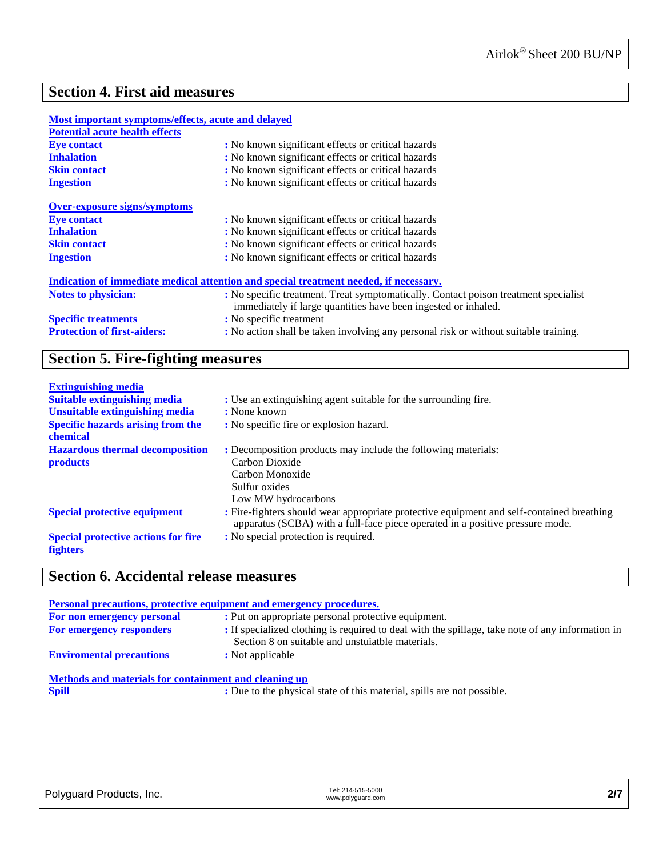### **Section 4. First aid measures**

| Most important symptoms/effects, acute and delayed |                                                                                                                                                       |  |
|----------------------------------------------------|-------------------------------------------------------------------------------------------------------------------------------------------------------|--|
| <b>Potential acute health effects</b>              |                                                                                                                                                       |  |
| <b>Eye contact</b>                                 | : No known significant effects or critical hazards                                                                                                    |  |
| <b>Inhalation</b>                                  | : No known significant effects or critical hazards                                                                                                    |  |
| <b>Skin contact</b>                                | : No known significant effects or critical hazards                                                                                                    |  |
| <b>Ingestion</b>                                   | : No known significant effects or critical hazards                                                                                                    |  |
| <b>Over-exposure signs/symptoms</b>                |                                                                                                                                                       |  |
| <b>Eye contact</b>                                 | : No known significant effects or critical hazards                                                                                                    |  |
| <b>Inhalation</b>                                  | : No known significant effects or critical hazards                                                                                                    |  |
| <b>Skin contact</b>                                | : No known significant effects or critical hazards                                                                                                    |  |
| <b>Ingestion</b>                                   | : No known significant effects or critical hazards                                                                                                    |  |
|                                                    | Indication of immediate medical attention and special treatment needed, if necessary.                                                                 |  |
| <b>Notes to physician:</b>                         | : No specific treatment. Treat symptomatically. Contact poison treatment specialist<br>immediately if large quantities have been ingested or inhaled. |  |
| <b>Specific treatments</b>                         | : No specific treatment                                                                                                                               |  |
| <b>Protection of first-aiders:</b>                 | : No action shall be taken involving any personal risk or without suitable training.                                                                  |  |

### **Section 5. Fire-fighting measures**

| <b>Extinguishing media</b>                           |                                                                                                                                                                            |
|------------------------------------------------------|----------------------------------------------------------------------------------------------------------------------------------------------------------------------------|
| <b>Suitable extinguishing media</b>                  | : Use an extinguishing agent suitable for the surrounding fire.                                                                                                            |
| <b>Unsuitable extinguishing media</b>                | : None known                                                                                                                                                               |
| <b>Specific hazards arising from the</b><br>chemical | : No specific fire or explosion hazard.                                                                                                                                    |
| <b>Hazardous thermal decomposition</b>               | : Decomposition products may include the following materials:                                                                                                              |
| <b>products</b>                                      | Carbon Dioxide                                                                                                                                                             |
|                                                      | Carbon Monoxide                                                                                                                                                            |
|                                                      | Sulfur oxides                                                                                                                                                              |
|                                                      | Low MW hydrocarbons                                                                                                                                                        |
| <b>Special protective equipment</b>                  | : Fire-fighters should wear appropriate protective equipment and self-contained breathing<br>apparatus (SCBA) with a full-face piece operated in a positive pressure mode. |
| <b>Special protective actions for fire</b>           | : No special protection is required.                                                                                                                                       |
| <b>fighters</b>                                      |                                                                                                                                                                            |

### **Section 6. Accidental release measures**

| <b>Personal precautions, protective equipment and emergency procedures.</b>                                                                                                                                                                                                            |                                                                                                                                                      |  |
|----------------------------------------------------------------------------------------------------------------------------------------------------------------------------------------------------------------------------------------------------------------------------------------|------------------------------------------------------------------------------------------------------------------------------------------------------|--|
| For non emergency personal                                                                                                                                                                                                                                                             | : Put on appropriate personal protective equipment.                                                                                                  |  |
| For emergency responders                                                                                                                                                                                                                                                               | : If specialized clothing is required to deal with the spillage, take note of any information in<br>Section 8 on suitable and unstuiatble materials. |  |
| <b>Enviromental precautions</b><br>: Not applicable                                                                                                                                                                                                                                    |                                                                                                                                                      |  |
| $M_{\rm{c}}$ and $L_{\rm{c}}$ and $L_{\rm{c}}$ are also defined by $\mathbf{f}_{\rm{c}}$ . The contract of the contract of the contract of the contract of $\mathbf{f}_{\rm{c}}$ and $\mathbf{f}_{\rm{c}}$ and $\mathbf{f}_{\rm{c}}$ and $\mathbf{f}_{\rm{c}}$ and $\mathbf{f}_{\rm{c$ |                                                                                                                                                      |  |

**Methods and materials for containment and cleaning up Spill :** Due to the physical state of this material, spills are not possible.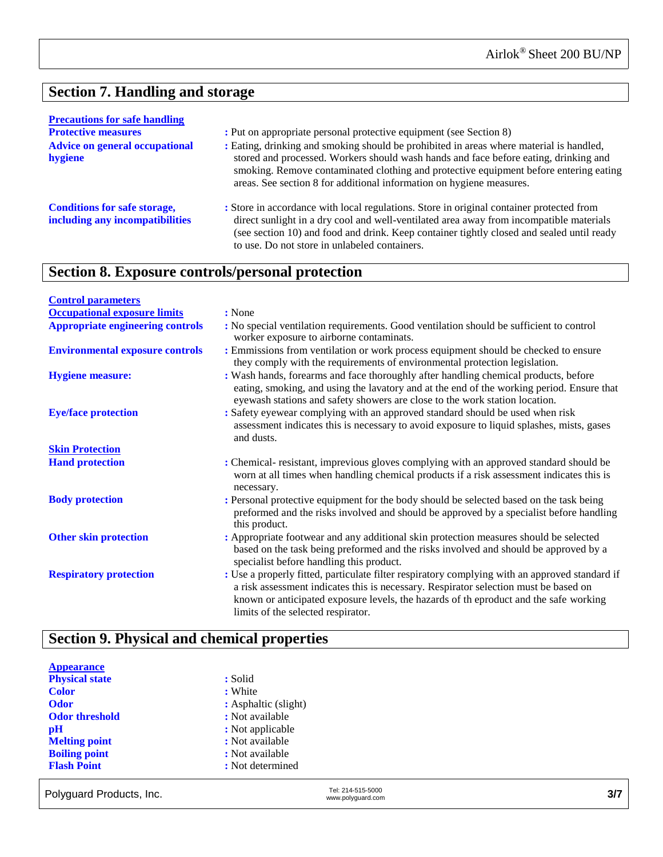# **Section 7. Handling and storage**

| <b>Precautions for safe handling</b>                                                                                                                                                                                                                                                                                                                                                                 |                                                                                                                                                                                                                                                                                                                                   |
|------------------------------------------------------------------------------------------------------------------------------------------------------------------------------------------------------------------------------------------------------------------------------------------------------------------------------------------------------------------------------------------------------|-----------------------------------------------------------------------------------------------------------------------------------------------------------------------------------------------------------------------------------------------------------------------------------------------------------------------------------|
| <b>Protective measures</b>                                                                                                                                                                                                                                                                                                                                                                           | : Put on appropriate personal protective equipment (see Section 8)                                                                                                                                                                                                                                                                |
| : Eating, drinking and smoking should be prohibited in areas where material is handled,<br><b>Advice on general occupational</b><br>stored and processed. Workers should wash hands and face before eating, drinking and<br>hygiene<br>smoking. Remove contaminated clothing and protective equipment before entering eating<br>areas. See section 8 for additional information on hygiene measures. |                                                                                                                                                                                                                                                                                                                                   |
| <b>Conditions for safe storage,</b><br>including any incompatibilities                                                                                                                                                                                                                                                                                                                               | : Store in accordance with local regulations. Store in original container protected from<br>direct sunlight in a dry cool and well-ventilated area away from incompatible materials<br>(see section 10) and food and drink. Keep container tightly closed and sealed until ready<br>to use. Do not store in unlabeled containers. |

# **Section 8. Exposure controls/personal protection**

| <b>Control parameters</b>               |                                                                                                                                                                                                                                                                                                                       |
|-----------------------------------------|-----------------------------------------------------------------------------------------------------------------------------------------------------------------------------------------------------------------------------------------------------------------------------------------------------------------------|
| <b>Occupational exposure limits</b>     | : None                                                                                                                                                                                                                                                                                                                |
| <b>Appropriate engineering controls</b> | : No special ventilation requirements. Good ventilation should be sufficient to control<br>worker exposure to airborne contaminats.                                                                                                                                                                                   |
| <b>Environmental exposure controls</b>  | : Emmissions from ventilation or work process equipment should be checked to ensure<br>they comply with the requirements of environmental protection legislation.                                                                                                                                                     |
| <b>Hygiene measure:</b>                 | : Wash hands, forearms and face thoroughly after handling chemical products, before<br>eating, smoking, and using the lavatory and at the end of the working period. Ensure that<br>eyewash stations and safety showers are close to the work station location.                                                       |
| <b>Eye/face protection</b>              | : Safety eyewear complying with an approved standard should be used when risk<br>assessment indicates this is necessary to avoid exposure to liquid splashes, mists, gases<br>and dusts.                                                                                                                              |
| <b>Skin Protection</b>                  |                                                                                                                                                                                                                                                                                                                       |
| <b>Hand protection</b>                  | : Chemical-resistant, imprevious gloves complying with an approved standard should be<br>worn at all times when handling chemical products if a risk assessment indicates this is<br>necessary.                                                                                                                       |
| <b>Body protection</b>                  | : Personal protective equipment for the body should be selected based on the task being<br>preformed and the risks involved and should be approved by a specialist before handling<br>this product.                                                                                                                   |
| <b>Other skin protection</b>            | : Appropriate footwear and any additional skin protection measures should be selected<br>based on the task being preformed and the risks involved and should be approved by a<br>specialist before handling this product.                                                                                             |
| <b>Respiratory protection</b>           | : Use a properly fitted, particulate filter respiratory complying with an approved standard if<br>a risk assessment indicates this is necessary. Respirator selection must be based on<br>known or anticipated exposure levels, the hazards of the product and the safe working<br>limits of the selected respirator. |

# **Section 9. Physical and chemical properties**

| <b>Appearance</b>     |                       |
|-----------------------|-----------------------|
| <b>Physical state</b> | : Solid               |
| <b>Color</b>          | : White               |
| <b>Odor</b>           | : Asphaltic (slight)  |
| <b>Odor threshold</b> | : Not available       |
| pH                    | : Not applicable      |
| <b>Melting point</b>  | : Not available       |
| <b>Boiling point</b>  | : Not available       |
| <b>Flash Point</b>    | : Not determined      |
|                       |                       |
|                       | $T0$ , $244$ E4E E000 |

| 3/7 |
|-----|
|     |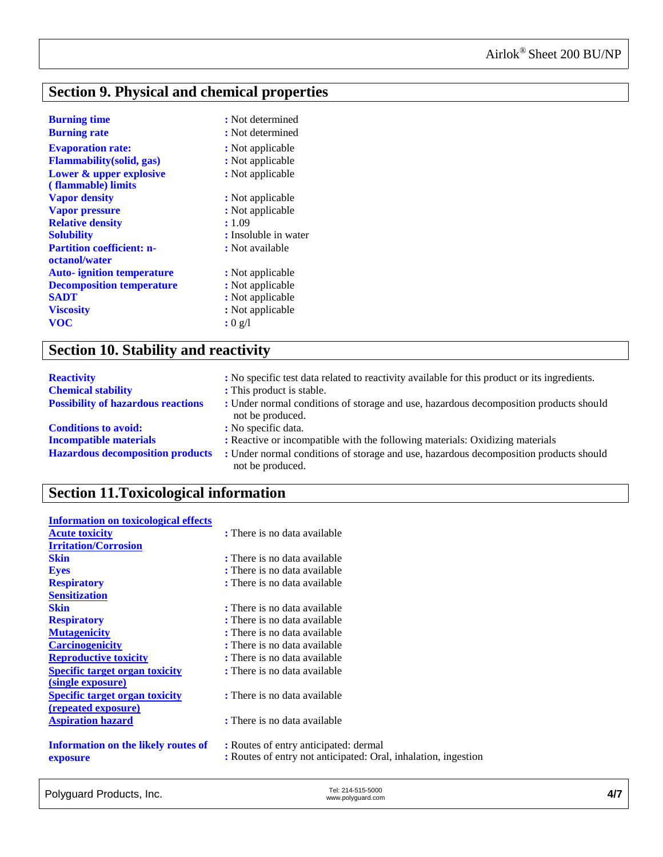# **Section 9. Physical and chemical properties**

| <b>Burning time</b>               | : Not determined      |
|-----------------------------------|-----------------------|
| <b>Burning rate</b>               | : Not determined      |
| <b>Evaporation rate:</b>          | : Not applicable      |
| <b>Flammability</b> (solid, gas)  | : Not applicable      |
| Lower & upper explosive           | : Not applicable      |
| (flammable) limits                |                       |
| <b>Vapor density</b>              | : Not applicable      |
| <b>Vapor pressure</b>             | : Not applicable      |
| <b>Relative density</b>           | : 1.09                |
| <b>Solubility</b>                 | : Insoluble in water  |
| <b>Partition coefficient: n-</b>  | : Not available       |
| octanol/water                     |                       |
| <b>Auto-</b> ignition temperature | : Not applicable      |
| <b>Decomposition temperature</b>  | : Not applicable      |
| <b>SADT</b>                       | : Not applicable      |
| <b>Viscosity</b>                  | : Not applicable      |
| <b>VOC</b>                        | : $0 \nvert 2 \nvert$ |

# **Section 10. Stability and reactivity**

| <b>Reactivity</b>                         | : No specific test data related to reactivity available for this product or its ingredients.              |
|-------------------------------------------|-----------------------------------------------------------------------------------------------------------|
| <b>Chemical stability</b>                 | : This product is stable.                                                                                 |
| <b>Possibility of hazardous reactions</b> | : Under normal conditions of storage and use, hazardous decomposition products should<br>not be produced. |
| <b>Conditions to avoid:</b>               | : No specific data.                                                                                       |
| <b>Incompatible materials</b>             | : Reactive or incompatible with the following materials: Oxidizing materials                              |
| <b>Hazardous decomposition products</b>   | : Under normal conditions of storage and use, hazardous decomposition products should<br>not be produced. |

# **Section 11.Toxicological information**

| <b>Information on toxicological effects</b> |                                                                |
|---------------------------------------------|----------------------------------------------------------------|
| <b>Acute toxicity</b>                       | : There is no data available                                   |
| <b>Irritation/Corrosion</b>                 |                                                                |
| <b>Skin</b>                                 | : There is no data available                                   |
| <b>Eyes</b>                                 | : There is no data available                                   |
| <b>Respiratory</b>                          | : There is no data available                                   |
| <b>Sensitization</b>                        |                                                                |
| <b>Skin</b>                                 | : There is no data available                                   |
| <b>Respiratory</b>                          | : There is no data available                                   |
| <b>Mutagenicity</b>                         | : There is no data available                                   |
| <b>Carcinogenicity</b>                      | : There is no data available                                   |
| <b>Reproductive toxicity</b>                | : There is no data available                                   |
| <b>Specific target organ toxicity</b>       | : There is no data available                                   |
| (single exposure)                           |                                                                |
| <b>Specific target organ toxicity</b>       | : There is no data available                                   |
| <u>(repeated exposure)</u>                  |                                                                |
| <b>Aspiration hazard</b>                    | : There is no data available                                   |
|                                             |                                                                |
| <b>Information on the likely routes of</b>  | : Routes of entry anticipated: dermal                          |
| exposure                                    | : Routes of entry not anticipated: Oral, inhalation, ingestion |
|                                             |                                                                |

| Polyguard Products, Inc. | Tel: 214-515-5000<br>www.polyguard.com |  |
|--------------------------|----------------------------------------|--|
|                          |                                        |  |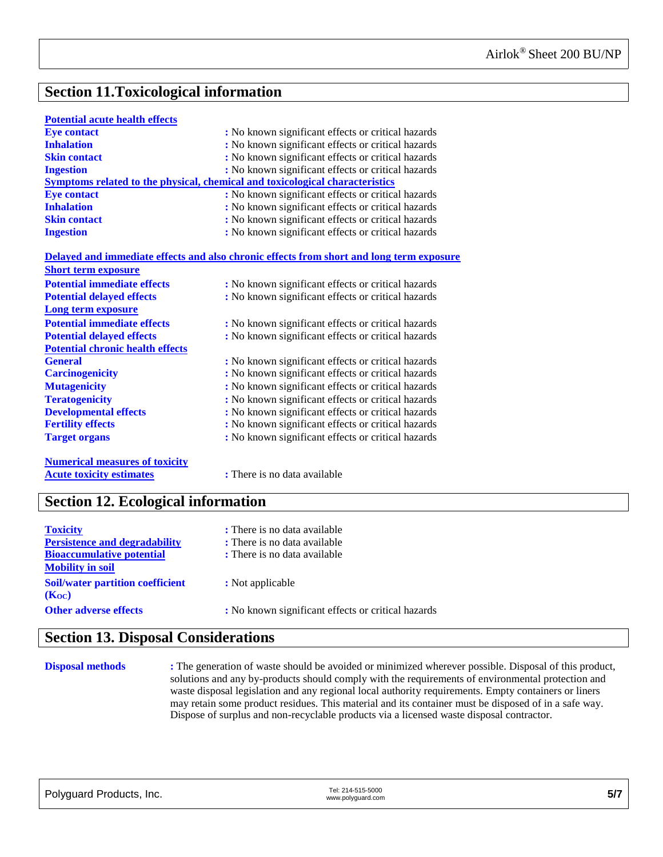# **Section 11.Toxicological information**

#### **Potential acute health effects**

| <b>Eye contact</b>  | : No known significant effects or critical hazards                           |
|---------------------|------------------------------------------------------------------------------|
| <b>Inhalation</b>   | : No known significant effects or critical hazards                           |
| <b>Skin contact</b> | : No known significant effects or critical hazards                           |
| <b>Ingestion</b>    | : No known significant effects or critical hazards                           |
|                     | Symptoms related to the physical, chemical and toxicological characteristics |
| <b>Eve contact</b>  | : No known significant effects or critical hazards                           |
| <b>Inhalation</b>   | : No known significant effects or critical hazards                           |
| <b>Skin contact</b> | : No known significant effects or critical hazards                           |
| <b>Ingestion</b>    | : No known significant effects or critical hazards                           |

#### **Delayed and immediate effects and also chronic effects from short and long term exposure Short term exposure**

| эногі ісгін ехроміте<br><b>Potential immediate effects</b> | : No known significant effects or critical hazards |
|------------------------------------------------------------|----------------------------------------------------|
| <b>Potential delayed effects</b>                           | : No known significant effects or critical hazards |
| Long term exposure                                         |                                                    |
| <b>Potential immediate effects</b>                         | : No known significant effects or critical hazards |
| <b>Potential delayed effects</b>                           | : No known significant effects or critical hazards |
| <b>Potential chronic health effects</b>                    |                                                    |
| <b>General</b>                                             | : No known significant effects or critical hazards |
| <b>Carcinogenicity</b>                                     | : No known significant effects or critical hazards |
| <b>Mutagenicity</b>                                        | : No known significant effects or critical hazards |
| <b>Teratogenicity</b>                                      | : No known significant effects or critical hazards |
| <b>Developmental effects</b>                               | : No known significant effects or critical hazards |
| <b>Fertility effects</b>                                   | : No known significant effects or critical hazards |
| <b>Target organs</b>                                       | : No known significant effects or critical hazards |
| <b>Numerical measures of toxicity</b>                      |                                                    |

**Acute toxicity estimates :** There is no data available

# **Section 12. Ecological information**

| : There is no data available                       |
|----------------------------------------------------|
| : There is no data available                       |
| : There is no data available                       |
|                                                    |
| : Not applicable                                   |
| : No known significant effects or critical hazards |
|                                                    |

### **Section 13. Disposal Considerations**

**Disposal methods** : The generation of waste should be avoided or minimized wherever possible. Disposal of this product, solutions and any by-products should comply with the requirements of environmental protection and waste disposal legislation and any regional local authority requirements. Empty containers or liners may retain some product residues. This material and its container must be disposed of in a safe way. Dispose of surplus and non-recyclable products via a licensed waste disposal contractor.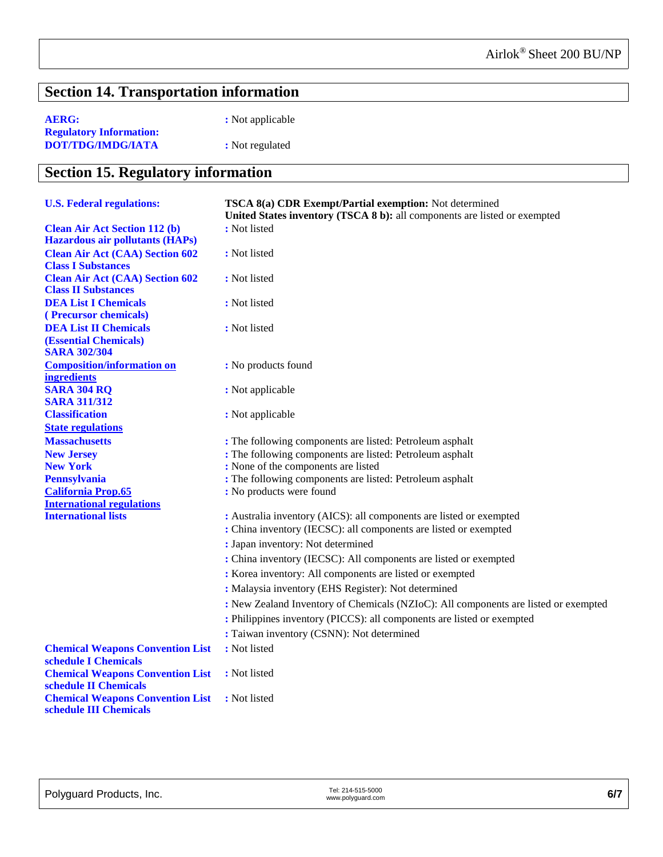# **Section 14. Transportation information**

| <b>AERG:</b>                   | : Not applicable |
|--------------------------------|------------------|
| <b>Regulatory Information:</b> |                  |
| DOT/TDG/IMDG/IATA              | : Not regulated  |

# **Section 15. Regulatory information**

| <b>U.S. Federal regulations:</b>                                                    | TSCA 8(a) CDR Exempt/Partial exemption: Not determined<br>United States inventory (TSCA 8 b): all components are listed or exempted     |
|-------------------------------------------------------------------------------------|-----------------------------------------------------------------------------------------------------------------------------------------|
| <b>Clean Air Act Section 112 (b)</b><br><b>Hazardous air pollutants (HAPs)</b>      | : Not listed                                                                                                                            |
| <b>Clean Air Act (CAA) Section 602</b><br><b>Class I Substances</b>                 | : Not listed                                                                                                                            |
| <b>Clean Air Act (CAA) Section 602</b><br><b>Class II Substances</b>                | : Not listed                                                                                                                            |
| <b>DEA List I Chemicals</b><br>(Precursor chemicals)                                | : Not listed                                                                                                                            |
| <b>DEA List II Chemicals</b><br><b>(Essential Chemicals)</b><br><b>SARA 302/304</b> | : Not listed                                                                                                                            |
| <b>Composition/information on</b><br><i>ingredients</i>                             | : No products found                                                                                                                     |
| <b>SARA 304 RQ</b><br><b>SARA 311/312</b>                                           | : Not applicable                                                                                                                        |
| <b>Classification</b><br><b>State regulations</b>                                   | : Not applicable                                                                                                                        |
| <b>Massachusetts</b>                                                                | : The following components are listed: Petroleum asphalt                                                                                |
| <b>New Jersey</b>                                                                   | : The following components are listed: Petroleum asphalt                                                                                |
| <b>New York</b>                                                                     | : None of the components are listed                                                                                                     |
| <b>Pennsylvania</b>                                                                 | : The following components are listed: Petroleum asphalt                                                                                |
| <b>California Prop.65</b>                                                           | : No products were found                                                                                                                |
| <b>International regulations</b>                                                    |                                                                                                                                         |
| <b>International lists</b>                                                          | : Australia inventory (AICS): all components are listed or exempted<br>: China inventory (IECSC): all components are listed or exempted |
|                                                                                     | : Japan inventory: Not determined                                                                                                       |
|                                                                                     | : China inventory (IECSC): All components are listed or exempted                                                                        |
|                                                                                     | : Korea inventory: All components are listed or exempted                                                                                |
|                                                                                     | : Malaysia inventory (EHS Register): Not determined                                                                                     |
|                                                                                     | : New Zealand Inventory of Chemicals (NZIoC): All components are listed or exempted                                                     |
|                                                                                     | : Philippines inventory (PICCS): all components are listed or exempted                                                                  |
|                                                                                     |                                                                                                                                         |
|                                                                                     | : Taiwan inventory (CSNN): Not determined                                                                                               |
| <b>Chemical Weapons Convention List</b><br>schedule I Chemicals                     | : Not listed                                                                                                                            |
| <b>Chemical Weapons Convention List</b><br>schedule II Chemicals                    | : Not listed                                                                                                                            |
| <b>Chemical Weapons Convention List</b><br>schedule III Chemicals                   | : Not listed                                                                                                                            |